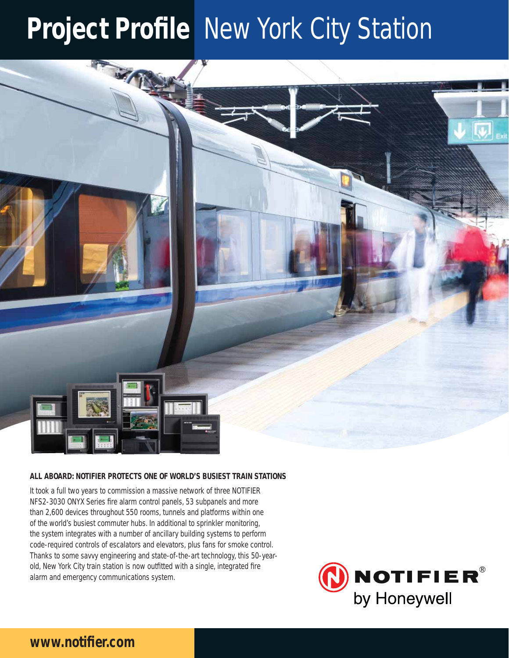# **Project Profile New York City Station**



## **ALL ABOARD: NOTIFIER PROTECTS ONE OF WORLD'S BUSIEST TRAIN STATIONS**

It took a full two years to commission a massive network of three NOTIFIER NFS2-3030 ONYX Series fire alarm control panels, 53 subpanels and more than 2,600 devices throughout 550 rooms, tunnels and platforms within one of the world's busiest commuter hubs. In additional to sprinkler monitoring, the system integrates with a number of ancillary building systems to perform code-required controls of escalators and elevators, plus fans for smoke control. Thanks to some savvy engineering and state-of-the-art technology, this 50-yearold, New York City train station is now outfitted with a single, integrated fire alarm and emergency communications system.



## www.notifier.com